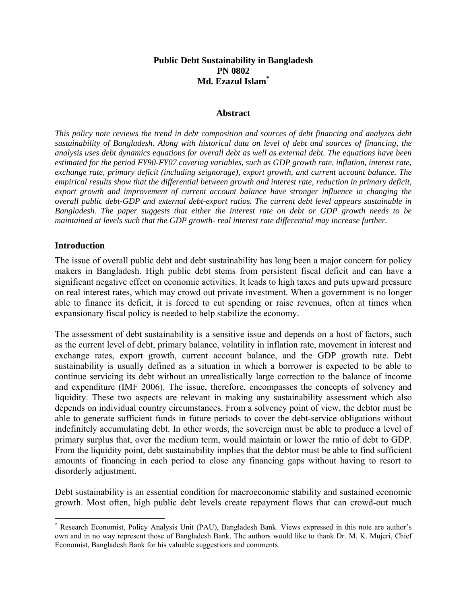### **Public Debt Sustainability in Bangladesh PN 0802 Md. Ezazul Islam\***

#### **Abstract**

*This policy note reviews the trend in debt composition and sources of debt financing and analyzes debt sustainability of Bangladesh. Along with historical data on level of debt and sources of financing, the analysis uses debt dynamics equations for overall debt as well as external debt. The equations have been estimated for the period FY90-FY07 covering variables, such as GDP growth rate, inflation, interest rate, exchange rate, primary deficit (including seignorage), export growth, and current account balance. The empirical results show that the differential between growth and interest rate, reduction in primary deficit, export growth and improvement of current account balance have stronger influence in changing the overall public debt-GDP and external debt-export ratios. The current debt level appears sustainable in Bangladesh. The paper suggests that either the interest rate on debt or GDP growth needs to be maintained at levels such that the GDP growth- real interest rate differential may increase further.* 

#### **Introduction**

 $\overline{a}$ 

The issue of overall public debt and debt sustainability has long been a major concern for policy makers in Bangladesh. High public debt stems from persistent fiscal deficit and can have a significant negative effect on economic activities. It leads to high taxes and puts upward pressure on real interest rates, which may crowd out private investment. When a government is no longer able to finance its deficit, it is forced to cut spending or raise revenues, often at times when expansionary fiscal policy is needed to help stabilize the economy.

The assessment of debt sustainability is a sensitive issue and depends on a host of factors, such as the current level of debt, primary balance, volatility in inflation rate, movement in interest and exchange rates, export growth, current account balance, and the GDP growth rate. Debt sustainability is usually defined as a situation in which a borrower is expected to be able to continue servicing its debt without an unrealistically large correction to the balance of income and expenditure (IMF 2006). The issue, therefore, encompasses the concepts of solvency and liquidity. These two aspects are relevant in making any sustainability assessment which also depends on individual country circumstances. From a solvency point of view, the debtor must be able to generate sufficient funds in future periods to cover the debt-service obligations without indefinitely accumulating debt. In other words, the sovereign must be able to produce a level of primary surplus that, over the medium term, would maintain or lower the ratio of debt to GDP. From the liquidity point, debt sustainability implies that the debtor must be able to find sufficient amounts of financing in each period to close any financing gaps without having to resort to disorderly adjustment.

Debt sustainability is an essential condition for macroeconomic stability and sustained economic growth. Most often, high public debt levels create repayment flows that can crowd-out much

<sup>\*</sup> Research Economist, Policy Analysis Unit (PAU), Bangladesh Bank. Views expressed in this note are author's own and in no way represent those of Bangladesh Bank. The authors would like to thank Dr. M. K. Mujeri, Chief Economist, Bangladesh Bank for his valuable suggestions and comments.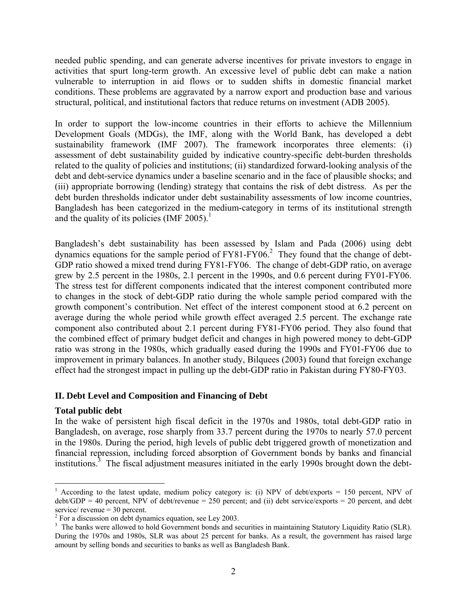needed public spending, and can generate adverse incentives for private investors to engage in activities that spurt long-term growth. An excessive level of public debt can make a nation vulnerable to interruption in aid flows or to sudden shifts in domestic financial market conditions. These problems are aggravated by a narrow export and production base and various structural, political, and institutional factors that reduce returns on investment (ADB 2005).

In order to support the low-income countries in their efforts to achieve the Millennium Development Goals (MDGs), the IMF, along with the World Bank, has developed a debt sustainability framework (IMF 2007). The framework incorporates three elements: (i) assessment of debt sustainability guided by indicative country-specific debt-burden thresholds related to the quality of policies and institutions; (ii) standardized forward-looking analysis of the debt and debt-service dynamics under a baseline scenario and in the face of plausible shocks; and (iii) appropriate borrowing (lending) strategy that contains the risk of debt distress. As per the debt burden thresholds indicator under debt sustainability assessments of low income countries, Bangladesh has been categorized in the medium-category in terms of its institutional strength and the quality of its policies (IMF 2005).<sup>1</sup>

Bangladesh's debt sustainability has been assessed by Islam and Pada (2006) using debt dynamics equations for the sample period of  $FY81-FY06$ <sup>2</sup>. They found that the change of debt-GDP ratio showed a mixed trend during FY81-FY06. The change of debt-GDP ratio, on average grew by 2.5 percent in the 1980s, 2.1 percent in the 1990s, and 0.6 percent during FY01-FY06. The stress test for different components indicated that the interest component contributed more to changes in the stock of debt-GDP ratio during the whole sample period compared with the growth component's contribution. Net effect of the interest component stood at 6.2 percent on average during the whole period while growth effect averaged 2.5 percent. The exchange rate component also contributed about 2.1 percent during FY81-FY06 period. They also found that the combined effect of primary budget deficit and changes in high powered money to debt-GDP ratio was strong in the 1980s, which gradually eased during the 1990s and FY01-FY06 due to improvement in primary balances. In another study, Bilquees (2003) found that foreign exchange effect had the strongest impact in pulling up the debt-GDP ratio in Pakistan during FY80-FY03.

#### **II. Debt Level and Composition and Financing of Debt**

#### **Total public debt**

 $\overline{a}$ 

In the wake of persistent high fiscal deficit in the 1970s and 1980s, total debt-GDP ratio in Bangladesh, on average, rose sharply from 33.7 percent during the 1970s to nearly 57.0 percent in the 1980s. During the period, high levels of public debt triggered growth of monetization and financial repression, including forced absorption of Government bonds by banks and financial institutions.<sup>3</sup> The fiscal adjustment measures initiated in the early 1990s brought down the debt-

<sup>&</sup>lt;sup>1</sup> According to the latest update, medium policy category is: (i) NPV of debt/exports = 150 percent, NPV of  $\text{debt/GDP} = 40$  percent, NPV of debt/revenue = 250 percent; and (ii) debt service/exports = 20 percent, and debt service/ revenue = 30 percent.

<sup>&</sup>lt;sup>2</sup> For a discussion on debt dynamics equation, see Ley 2003.

<sup>&</sup>lt;sup>3</sup> The banks were allowed to hold Government bonds and securities in maintaining Statutory Liquidity Ratio (SLR). During the 1970s and 1980s, SLR was about 25 percent for banks. As a result, the government has raised large amount by selling bonds and securities to banks as well as Bangladesh Bank.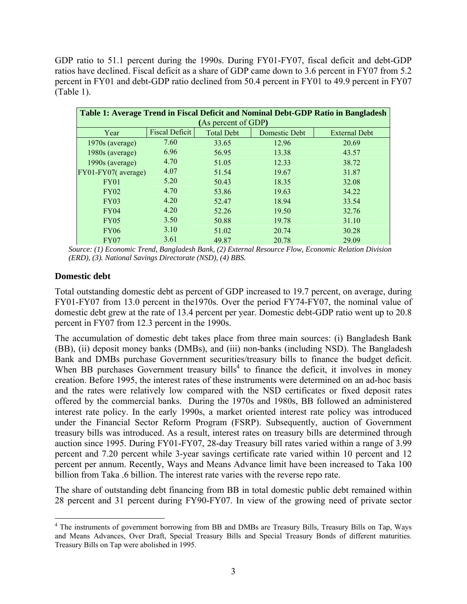GDP ratio to 51.1 percent during the 1990s. During FY01-FY07, fiscal deficit and debt-GDP ratios have declined. Fiscal deficit as a share of GDP came down to 3.6 percent in FY07 from 5.2 percent in FY01 and debt-GDP ratio declined from 50.4 percent in FY01 to 49.9 percent in FY07 (Table 1).

| Table 1: Average Trend in Fiscal Deficit and Nominal Debt-GDP Ratio in Bangladesh |                       |                   |               |                      |  |  |  |  |
|-----------------------------------------------------------------------------------|-----------------------|-------------------|---------------|----------------------|--|--|--|--|
| (As percent of GDP)                                                               |                       |                   |               |                      |  |  |  |  |
| Year                                                                              | <b>Fiscal Deficit</b> | <b>Total Debt</b> | Domestic Debt | <b>External Debt</b> |  |  |  |  |
| 1970s (average)                                                                   | 7.60                  | 33.65             | 12.96         | 20.69                |  |  |  |  |
| 1980s (average)                                                                   | 6.96                  | 56.95             | 13.38         | 43.57                |  |  |  |  |
| 1990s (average)                                                                   | 4.70                  | 51.05             | 12.33         | 38.72                |  |  |  |  |
| FY01-FY07(average)                                                                | 4.07                  | 51.54             | 19.67         | 31.87                |  |  |  |  |
| FY01                                                                              | 5.20                  | 50.43             | 18.35         | 32.08                |  |  |  |  |
| <b>FY02</b>                                                                       | 4.70                  | 53.86             | 19.63         | 34.22                |  |  |  |  |
| FY03                                                                              | 4.20                  | 52.47             | 18.94         | 33.54                |  |  |  |  |
| FY04                                                                              | 4.20                  | 52.26             | 19.50         | 32.76                |  |  |  |  |
| <b>FY05</b>                                                                       | 3.50                  | 50.88             | 19.78         | 31.10                |  |  |  |  |
| <b>FY06</b>                                                                       | 3.10                  | 51.02             | 20.74         | 30.28                |  |  |  |  |
| <b>FY07</b>                                                                       | 3.61                  | 49.87             | 20.78         | 29.09                |  |  |  |  |

 *Source: (1) Economic Trend, Bangladesh Bank, (2) External Resource Flow, Economic Relation Division (ERD), (3). National Savings Directorate (NSD), (4) BBS.* 

# **Domestic debt**

Total outstanding domestic debt as percent of GDP increased to 19.7 percent, on average, during FY01-FY07 from 13.0 percent in the1970s. Over the period FY74-FY07, the nominal value of domestic debt grew at the rate of 13.4 percent per year. Domestic debt-GDP ratio went up to 20.8 percent in FY07 from 12.3 percent in the 1990s.

The accumulation of domestic debt takes place from three main sources: (i) Bangladesh Bank (BB), (ii) deposit money banks (DMBs), and (iii) non-banks (including NSD). The Bangladesh Bank and DMBs purchase Government securities/treasury bills to finance the budget deficit. When BB purchases Government treasury bills<sup>4</sup> to finance the deficit, it involves in money creation. Before 1995, the interest rates of these instruments were determined on an ad-hoc basis and the rates were relatively low compared with the NSD certificates or fixed deposit rates offered by the commercial banks. During the 1970s and 1980s, BB followed an administered interest rate policy. In the early 1990s, a market oriented interest rate policy was introduced under the Financial Sector Reform Program (FSRP). Subsequently, auction of Government treasury bills was introduced. As a result, interest rates on treasury bills are determined through auction since 1995. During FY01-FY07, 28-day Treasury bill rates varied within a range of 3.99 percent and 7.20 percent while 3-year savings certificate rate varied within 10 percent and 12 percent per annum. Recently, Ways and Means Advance limit have been increased to Taka 100 billion from Taka .6 billion. The interest rate varies with the reverse repo rate.

The share of outstanding debt financing from BB in total domestic public debt remained within 28 percent and 31 percent during FY90-FY07. In view of the growing need of private sector

 $\overline{a}$ <sup>4</sup> The instruments of government borrowing from BB and DMBs are Treasury Bills, Treasury Bills on Tap, Ways and Means Advances, Over Draft, Special Treasury Bills and Special Treasury Bonds of different maturities. Treasury Bills on Tap were abolished in 1995.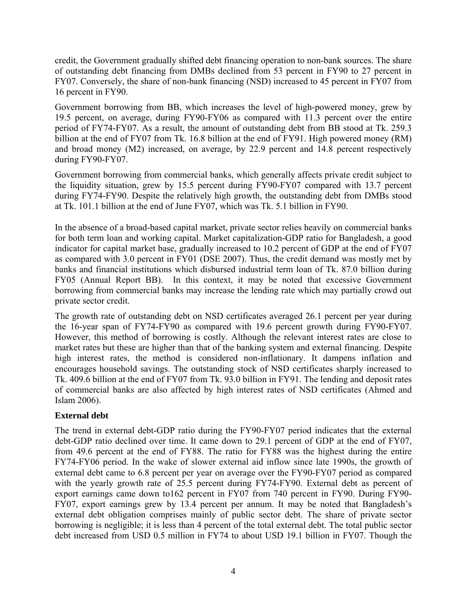credit, the Government gradually shifted debt financing operation to non-bank sources. The share of outstanding debt financing from DMBs declined from 53 percent in FY90 to 27 percent in FY07. Conversely, the share of non-bank financing (NSD) increased to 45 percent in FY07 from 16 percent in FY90.

Government borrowing from BB, which increases the level of high-powered money, grew by 19.5 percent, on average, during FY90-FY06 as compared with 11.3 percent over the entire period of FY74-FY07. As a result, the amount of outstanding debt from BB stood at Tk. 259.3 billion at the end of FY07 from Tk. 16.8 billion at the end of FY91. High powered money (RM) and broad money (M2) increased, on average, by 22.9 percent and 14.8 percent respectively during FY90-FY07.

Government borrowing from commercial banks, which generally affects private credit subject to the liquidity situation, grew by 15.5 percent during FY90-FY07 compared with 13.7 percent during FY74-FY90. Despite the relatively high growth, the outstanding debt from DMBs stood at Tk. 101.1 billion at the end of June FY07, which was Tk. 5.1 billion in FY90.

In the absence of a broad-based capital market, private sector relies heavily on commercial banks for both term loan and working capital. Market capitalization-GDP ratio for Bangladesh, a good indicator for capital market base, gradually increased to 10.2 percent of GDP at the end of FY07 as compared with 3.0 percent in FY01 (DSE 2007). Thus, the credit demand was mostly met by banks and financial institutions which disbursed industrial term loan of Tk. 87.0 billion during FY05 (Annual Report BB). In this context, it may be noted that excessive Government borrowing from commercial banks may increase the lending rate which may partially crowd out private sector credit.

The growth rate of outstanding debt on NSD certificates averaged 26.1 percent per year during the 16-year span of FY74-FY90 as compared with 19.6 percent growth during FY90-FY07. However, this method of borrowing is costly. Although the relevant interest rates are close to market rates but these are higher than that of the banking system and external financing. Despite high interest rates, the method is considered non-inflationary. It dampens inflation and encourages household savings. The outstanding stock of NSD certificates sharply increased to Tk. 409.6 billion at the end of FY07 from Tk. 93.0 billion in FY91. The lending and deposit rates of commercial banks are also affected by high interest rates of NSD certificates (Ahmed and Islam 2006).

# **External debt**

The trend in external debt-GDP ratio during the FY90-FY07 period indicates that the external debt-GDP ratio declined over time. It came down to 29.1 percent of GDP at the end of FY07, from 49.6 percent at the end of FY88. The ratio for FY88 was the highest during the entire FY74-FY06 period. In the wake of slower external aid inflow since late 1990s, the growth of external debt came to 6.8 percent per year on average over the FY90-FY07 period as compared with the yearly growth rate of 25.5 percent during FY74-FY90. External debt as percent of export earnings came down to162 percent in FY07 from 740 percent in FY90. During FY90- FY07, export earnings grew by 13.4 percent per annum. It may be noted that Bangladesh's external debt obligation comprises mainly of public sector debt. The share of private sector borrowing is negligible; it is less than 4 percent of the total external debt. The total public sector debt increased from USD 0.5 million in FY74 to about USD 19.1 billion in FY07. Though the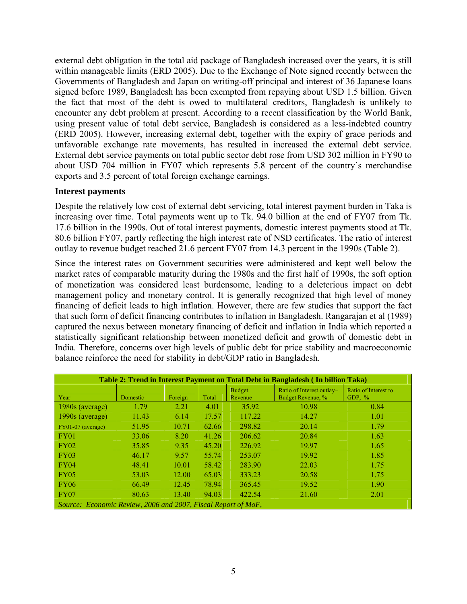external debt obligation in the total aid package of Bangladesh increased over the years, it is still within manageable limits (ERD 2005). Due to the Exchange of Note signed recently between the Governments of Bangladesh and Japan on writing-off principal and interest of 36 Japanese loans signed before 1989, Bangladesh has been exempted from repaying about USD 1.5 billion. Given the fact that most of the debt is owed to multilateral creditors, Bangladesh is unlikely to encounter any debt problem at present. According to a recent classification by the World Bank, using present value of total debt service, Bangladesh is considered as a less-indebted country (ERD 2005). However, increasing external debt, together with the expiry of grace periods and unfavorable exchange rate movements, has resulted in increased the external debt service. External debt service payments on total public sector debt rose from USD 302 million in FY90 to about USD 704 million in FY07 which represents 5.8 percent of the country's merchandise exports and 3.5 percent of total foreign exchange earnings.

## **Interest payments**

Despite the relatively low cost of external debt servicing, total interest payment burden in Taka is increasing over time. Total payments went up to Tk. 94.0 billion at the end of FY07 from Tk. 17.6 billion in the 1990s. Out of total interest payments, domestic interest payments stood at Tk. 80.6 billion FY07, partly reflecting the high interest rate of NSD certificates. The ratio of interest outlay to revenue budget reached 21.6 percent FY07 from 14.3 percent in the 1990s (Table 2).

Since the interest rates on Government securities were administered and kept well below the market rates of comparable maturity during the 1980s and the first half of 1990s, the soft option of monetization was considered least burdensome, leading to a deleterious impact on debt management policy and monetary control. It is generally recognized that high level of money financing of deficit leads to high inflation. However, there are few studies that support the fact that such form of deficit financing contributes to inflation in Bangladesh. Rangarajan et al (1989) captured the nexus between monetary financing of deficit and inflation in India which reported a statistically significant relationship between monetized deficit and growth of domestic debt in India. Therefore, concerns over high levels of public debt for price stability and macroeconomic balance reinforce the need for stability in debt/GDP ratio in Bangladesh.

| Table 2: Trend in Interest Payment on Total Debt in Bangladesh (In billion Taka) |          |         |       |                   |                                                |                                  |  |  |
|----------------------------------------------------------------------------------|----------|---------|-------|-------------------|------------------------------------------------|----------------------------------|--|--|
| Year                                                                             | Domestic | Foreign | Total | Budget<br>Revenue | Ratio of Interest outlay-<br>Budget Revenue, % | Ratio of Interest to<br>GDP, $%$ |  |  |
| 1980s (average)                                                                  | 1.79     | 2.21    | 4.01  | 35.92             | 10.98                                          | 0.84                             |  |  |
| $1990s$ (average)                                                                | 11.43    | 6.14    | 17.57 | 117.22            | 14.27                                          | 1.01                             |  |  |
| $FY01-07$ (average)                                                              | 51.95    | 10.71   | 62.66 | 298.82            | 20.14                                          | 1.79                             |  |  |
| <b>FY01</b>                                                                      | 33.06    | 8.20    | 41.26 | 206.62            | 20.84                                          | 1.63                             |  |  |
| FY02                                                                             | 35.85    | 9.35    | 45.20 | 226.92            | 19.97                                          | 1.65                             |  |  |
| <b>FY03</b>                                                                      | 46.17    | 9.57    | 55.74 | 253.07            | 19.92                                          | 1.85                             |  |  |
| <b>FY04</b>                                                                      | 48.41    | 10.01   | 58.42 | 283.90            | 22.03                                          | 1.75                             |  |  |
| <b>FY05</b>                                                                      | 53.03    | 12.00   | 65.03 | 333.23            | 20.58                                          | 1.75                             |  |  |
| <b>FY06</b>                                                                      | 66.49    | 12.45   | 78.94 | 365.45            | 19.52                                          | 1.90                             |  |  |
| <b>FY07</b>                                                                      | 80.63    | 13.40   | 94.03 | 422.54            | 21.60                                          | 2.01                             |  |  |
| Source: Economic Review, 2006 and 2007, Fiscal Report of MoF,                    |          |         |       |                   |                                                |                                  |  |  |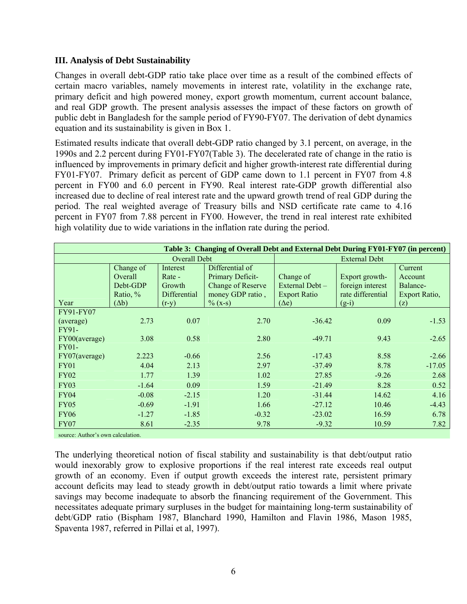## **III. Analysis of Debt Sustainability**

Changes in overall debt-GDP ratio take place over time as a result of the combined effects of certain macro variables, namely movements in interest rate, volatility in the exchange rate, primary deficit and high powered money, export growth momentum, current account balance, and real GDP growth. The present analysis assesses the impact of these factors on growth of public debt in Bangladesh for the sample period of FY90-FY07. The derivation of debt dynamics equation and its sustainability is given in Box 1.

Estimated results indicate that overall debt-GDP ratio changed by 3.1 percent, on average, in the 1990s and 2.2 percent during FY01-FY07(Table 3). The decelerated rate of change in the ratio is influenced by improvements in primary deficit and higher growth-interest rate differential during FY01-FY07. Primary deficit as percent of GDP came down to 1.1 percent in FY07 from 4.8 percent in FY00 and 6.0 percent in FY90. Real interest rate-GDP growth differential also increased due to decline of real interest rate and the upward growth trend of real GDP during the period. The real weighted average of Treasury bills and NSD certificate rate came to 4.16 percent in FY07 from 7.88 percent in FY00. However, the trend in real interest rate exhibited high volatility due to wide variations in the inflation rate during the period.

| Table 3: Changing of Overall Debt and External Debt During FY01-FY07 (in percent) |                                                              |                                                         |                                                                                                   |                                                                     |                                                                    |                                                        |  |
|-----------------------------------------------------------------------------------|--------------------------------------------------------------|---------------------------------------------------------|---------------------------------------------------------------------------------------------------|---------------------------------------------------------------------|--------------------------------------------------------------------|--------------------------------------------------------|--|
| Overall Debt                                                                      |                                                              |                                                         |                                                                                                   | <b>External Debt</b>                                                |                                                                    |                                                        |  |
| Year                                                                              | Change of<br>Overall<br>Debt-GDP<br>Ratio, %<br>$(\Delta b)$ | Interest<br>Rate -<br>Growth<br>Differential<br>$(r-y)$ | Differential of<br>Primary Deficit-<br><b>Change of Reserve</b><br>money GDP ratio,<br>$\%$ (x-s) | Change of<br>External Debt –<br><b>Export Ratio</b><br>$(\Delta e)$ | Export growth-<br>foreign interest<br>rate differential<br>$(g-i)$ | Current<br>Account<br>Balance-<br>Export Ratio,<br>(z) |  |
| FY91-FY07                                                                         |                                                              |                                                         |                                                                                                   |                                                                     |                                                                    |                                                        |  |
| (average)                                                                         | 2.73                                                         | 0.07                                                    | 2.70                                                                                              | $-36.42$                                                            | 0.09                                                               | $-1.53$                                                |  |
| FY91-                                                                             |                                                              |                                                         |                                                                                                   |                                                                     |                                                                    |                                                        |  |
| FY00(average)                                                                     | 3.08                                                         | 0.58                                                    | 2.80                                                                                              | $-49.71$                                                            | 9.43                                                               | $-2.65$                                                |  |
| FY01-                                                                             |                                                              |                                                         |                                                                                                   |                                                                     |                                                                    |                                                        |  |
| FY07(average)                                                                     | 2.223                                                        | $-0.66$                                                 | 2.56                                                                                              | $-17.43$                                                            | 8.58                                                               | $-2.66$                                                |  |
| <b>FY01</b>                                                                       | 4.04                                                         | 2.13                                                    | 2.97                                                                                              | $-37.49$                                                            | 8.78                                                               | $-17.05$                                               |  |
| <b>FY02</b>                                                                       | 1.77                                                         | 1.39                                                    | 1.02                                                                                              | 27.85                                                               | $-9.26$                                                            | 2.68                                                   |  |
| <b>FY03</b>                                                                       | $-1.64$                                                      | 0.09                                                    | 1.59                                                                                              | $-21.49$                                                            | 8.28                                                               | 0.52                                                   |  |
| <b>FY04</b>                                                                       | $-0.08$                                                      | $-2.15$                                                 | 1.20                                                                                              | $-31.44$                                                            | 14.62                                                              | 4.16                                                   |  |
| <b>FY05</b>                                                                       | $-0.69$                                                      | $-1.91$                                                 | 1.66                                                                                              | $-27.12$                                                            | 10.46                                                              | $-4.43$                                                |  |
| <b>FY06</b>                                                                       | $-1.27$                                                      | $-1.85$                                                 | $-0.32$                                                                                           | $-23.02$                                                            | 16.59                                                              | 6.78                                                   |  |
| FY07                                                                              | 8.61                                                         | $-2.35$                                                 | 9.78                                                                                              | $-9.32$                                                             | 10.59                                                              | 7.82                                                   |  |

source: Author's own calculation.

The underlying theoretical notion of fiscal stability and sustainability is that debt/output ratio would inexorably grow to explosive proportions if the real interest rate exceeds real output growth of an economy. Even if output growth exceeds the interest rate, persistent primary account deficits may lead to steady growth in debt/output ratio towards a limit where private savings may become inadequate to absorb the financing requirement of the Government. This necessitates adequate primary surpluses in the budget for maintaining long-term sustainability of debt/GDP ratio (Bispham 1987, Blanchard 1990, Hamilton and Flavin 1986, Mason 1985, Spaventa 1987, referred in Pillai et al, 1997).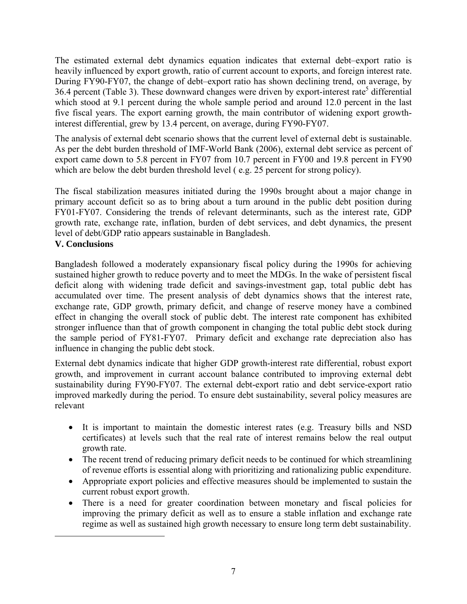The estimated external debt dynamics equation indicates that external debt–export ratio is heavily influenced by export growth, ratio of current account to exports, and foreign interest rate. During FY90-FY07, the change of debt–export ratio has shown declining trend, on average, by  $36.4$  percent (Table 3). These downward changes were driven by export-interest rate<sup>5</sup> differential which stood at 9.1 percent during the whole sample period and around 12.0 percent in the last five fiscal years. The export earning growth, the main contributor of widening export growthinterest differential, grew by 13.4 percent, on average, during FY90-FY07.

The analysis of external debt scenario shows that the current level of external debt is sustainable. As per the debt burden threshold of IMF-World Bank (2006), external debt service as percent of export came down to 5.8 percent in FY07 from 10.7 percent in FY00 and 19.8 percent in FY90 which are below the debt burden threshold level (e.g. 25 percent for strong policy).

The fiscal stabilization measures initiated during the 1990s brought about a major change in primary account deficit so as to bring about a turn around in the public debt position during FY01-FY07. Considering the trends of relevant determinants, such as the interest rate, GDP growth rate, exchange rate, inflation, burden of debt services, and debt dynamics, the present level of debt/GDP ratio appears sustainable in Bangladesh.

## **V. Conclusions**

 $\overline{a}$ 

Bangladesh followed a moderately expansionary fiscal policy during the 1990s for achieving sustained higher growth to reduce poverty and to meet the MDGs. In the wake of persistent fiscal deficit along with widening trade deficit and savings-investment gap, total public debt has accumulated over time. The present analysis of debt dynamics shows that the interest rate, exchange rate, GDP growth, primary deficit, and change of reserve money have a combined effect in changing the overall stock of public debt. The interest rate component has exhibited stronger influence than that of growth component in changing the total public debt stock during the sample period of FY81-FY07. Primary deficit and exchange rate depreciation also has influence in changing the public debt stock.

External debt dynamics indicate that higher GDP growth-interest rate differential, robust export growth, and improvement in currant account balance contributed to improving external debt sustainability during FY90-FY07. The external debt-export ratio and debt service-export ratio improved markedly during the period. To ensure debt sustainability, several policy measures are relevant

- It is important to maintain the domestic interest rates (e.g. Treasury bills and NSD certificates) at levels such that the real rate of interest remains below the real output growth rate.
- The recent trend of reducing primary deficit needs to be continued for which streamlining of revenue efforts is essential along with prioritizing and rationalizing public expenditure.
- Appropriate export policies and effective measures should be implemented to sustain the current robust export growth.
- There is a need for greater coordination between monetary and fiscal policies for improving the primary deficit as well as to ensure a stable inflation and exchange rate regime as well as sustained high growth necessary to ensure long term debt sustainability.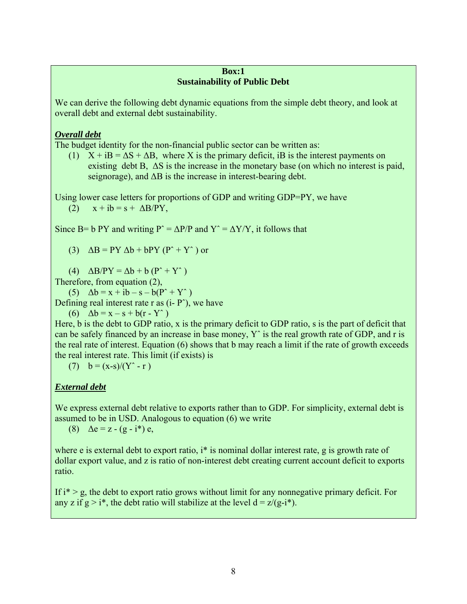## **Box:1 Sustainability of Public Debt**

We can derive the following debt dynamic equations from the simple debt theory, and look at overall debt and external debt sustainability.

# *Overall debt*

The budget identity for the non-financial public sector can be written as:

(1)  $X + iB = \Delta S + \Delta B$ , where X is the primary deficit, iB is the interest payments on existing debt B, ∆S is the increase in the monetary base (on which no interest is paid, seignorage), and ∆B is the increase in interest-bearing debt.

Using lower case letters for proportions of GDP and writing GDP=PY, we have (2)  $x + ib = s + \Delta B/PY$ ,

Since B= b PY and writing P<sup> $\sim$ </sup> =  $\Delta$ P/P and Y<sup> $\sim$ </sup> =  $\Delta$ Y/Y, it follows that

(3)  $\Delta B = PY \Delta b + bPY (P^* + Y^*)$  or

(4)  $\Delta B/PY = \Delta b + b (P^+ + Y^+)$ 

Therefore, from equation (2),

(5)  $\Delta b = x + ib - s - b(P^* + Y^*)$ Defining real interest rate r as  $(i - P^*)$ , we have

(6) 
$$
\Delta b = x - s + b(r - Y^*)
$$

Here, b is the debt to GDP ratio, x is the primary deficit to GDP ratio, s is the part of deficit that can be safely financed by an increase in base money, Yˆ is the real growth rate of GDP, and r is the real rate of interest. Equation (6) shows that b may reach a limit if the rate of growth exceeds the real interest rate. This limit (if exists) is

(7)  $b = (x-s)/(Y^* - r)$ 

# *External debt*

We express external debt relative to exports rather than to GDP. For simplicity, external debt is assumed to be in USD. Analogous to equation (6) we write

(8)  $\Delta e = z - (g - i^*) e$ ,

where e is external debt to export ratio, i<sup>\*</sup> is nominal dollar interest rate, g is growth rate of dollar export value, and z is ratio of non-interest debt creating current account deficit to exports ratio.

If  $i^*$  > g, the debt to export ratio grows without limit for any nonnegative primary deficit. For any z if  $g > i^*$ , the debt ratio will stabilize at the level  $d = z/(g-i^*)$ .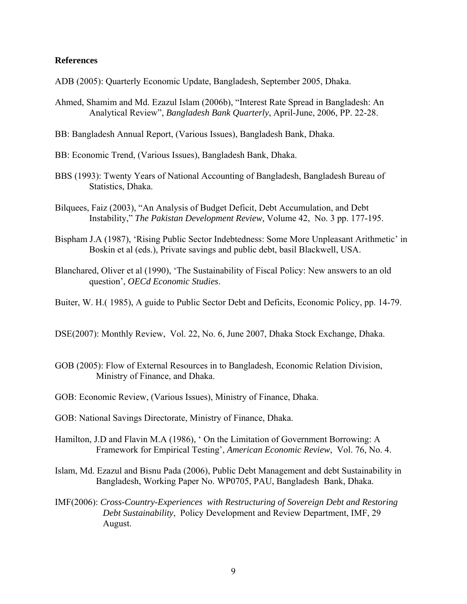#### **References**

- ADB (2005): Quarterly Economic Update, Bangladesh, September 2005, Dhaka.
- Ahmed, Shamim and Md. Ezazul Islam (2006b), "Interest Rate Spread in Bangladesh: An Analytical Review", *Bangladesh Bank Quarterly*, April-June, 2006, PP. 22-28.
- BB: Bangladesh Annual Report, (Various Issues), Bangladesh Bank, Dhaka.
- BB: Economic Trend, (Various Issues), Bangladesh Bank, Dhaka.
- BBS (1993): Twenty Years of National Accounting of Bangladesh, Bangladesh Bureau of Statistics, Dhaka.
- Bilquees, Faiz (2003), "An Analysis of Budget Deficit, Debt Accumulation, and Debt Instability," *The Pakistan Development Review,* Volume 42, No. 3 pp. 177-195.
- Bispham J.A (1987), 'Rising Public Sector Indebtedness: Some More Unpleasant Arithmetic' in Boskin et al (eds.), Private savings and public debt, basil Blackwell, USA.
- Blanchared, Oliver et al (1990), 'The Sustainability of Fiscal Policy: New answers to an old question', *OECd Economic Studies*.
- Buiter, W. H.( 1985), A guide to Public Sector Debt and Deficits, Economic Policy, pp. 14-79.
- DSE(2007): Monthly Review, Vol. 22, No. 6, June 2007, Dhaka Stock Exchange, Dhaka.
- GOB (2005): Flow of External Resources in to Bangladesh, Economic Relation Division, Ministry of Finance, and Dhaka.
- GOB: Economic Review, (Various Issues), Ministry of Finance, Dhaka.
- GOB: National Savings Directorate, Ministry of Finance, Dhaka.
- Hamilton, J.D and Flavin M.A (1986), ' On the Limitation of Government Borrowing: A Framework for Empirical Testing', *American Economic Review*, Vol. 76, No. 4.
- Islam, Md. Ezazul and Bisnu Pada (2006), Public Debt Management and debt Sustainability in Bangladesh, Working Paper No. WP0705, PAU, Bangladesh Bank, Dhaka.
- IMF(2006): *Cross-Country-Experiences with Restructuring of Sovereign Debt and Restoring Debt Sustainability*, Policy Development and Review Department, IMF, 29 August.